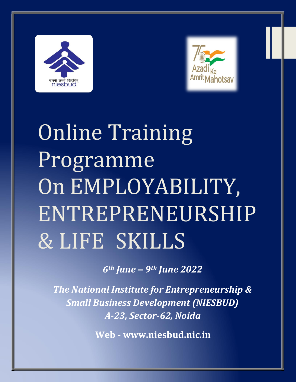



# Online Training Programme On EMPLOYABILITY, ENTREPRENEURSHIP & LIFE SKILLS

*6th June – 9th June 2022*

*The National Institute for Entrepreneurship & Small Business Development (NIESBUD) A-23, Sector-62, Noida*

**Web - [www.niesbud.nic.in](http://www.niesbud.nic.in/)**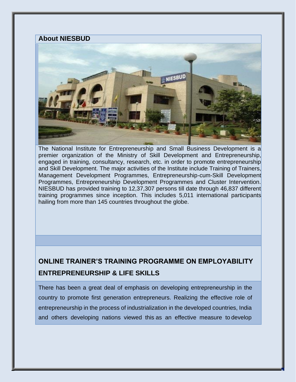#### **About NIESBUD**



The National Institute for Entrepreneurship and Small Business Development is a premier organization of the Ministry of Skill Development and Entrepreneurship, engaged in training, consultancy, research, etc. in order to promote entrepreneurship and Skill Development. The major activities of the Institute include Training of Trainers, Management Development Programmes, Entrepreneurship-cum-Skill Development Programmes, Entrepreneurship Development Programmes and Cluster Intervention. NIESBUD has provided training to 12,37,307 persons till date through 46,837 different training programmes since inception. This includes 5,011 international participants hailing from more than 145 countries throughout the globe.

## **ONLINE TRAINER'S TRAINING PROGRAMME ON EMPLOYABILITY ENTREPRENEURSHIP & LIFE SKILLS**

There has been a great deal of emphasis on developing entrepreneurship in the country to promote first generation entrepreneurs. Realizing the effective role of entrepreneurship in the process of industrialization in the developed countries, India and others developing nations viewed this as an effective measure to develop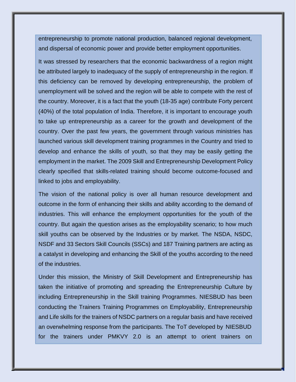entrepreneurship to promote national production, balanced regional development, and dispersal of economic power and provide better employment opportunities.

It was stressed by researchers that the economic backwardness of a region might be attributed largely to inadequacy of the supply of entrepreneurship in the region. If this deficiency can be removed by developing entrepreneurship, the problem of unemployment will be solved and the region will be able to compete with the rest of the country. Moreover, it is a fact that the youth (18-35 age) contribute Forty percent (40%) of the total population of India. Therefore, it is important to encourage youth to take up entrepreneurship as a career for the growth and development of the country. Over the past few years, the government through various ministries has launched various skill development training programmes in the Country and tried to develop and enhance the skills of youth, so that they may be easily getting the employment in the market. The 2009 Skill and Entrepreneurship Development Policy clearly specified that skills-related training should become outcome-focused and linked to jobs and employability.

The vision of the national policy is over all human resource development and outcome in the form of enhancing their skills and ability according to the demand of industries. This will enhance the employment opportunities for the youth of the country. But again the question arises as the employability scenario; to how much skill youths can be observed by the Industries or by market. The NSDA, NSDC, NSDF and 33 Sectors Skill Councils (SSCs) and 187 Training partners are acting as a catalyst in developing and enhancing the Skill of the youths according to the need of the industries.

Under this mission, the Ministry of Skill Development and Entrepreneurship has taken the initiative of promoting and spreading the Entrepreneurship Culture by including Entrepreneurship in the Skill training Programmes. NIESBUD has been conducting the Trainers Training Programmes on Employability, Entrepreneurship and Life skills for the trainers of NSDC partners on a regular basis and have received an overwhelming response from the participants. The ToT developed by NIESBUD for the trainers under PMKVY 2.0 is an attempt to orient trainers on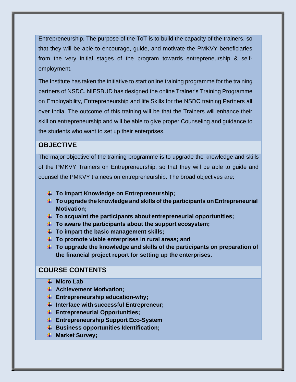Entrepreneurship. The purpose of the ToT is to build the capacity of the trainers, so that they will be able to encourage, guide, and motivate the PMKVY beneficiaries from the very initial stages of the program towards entrepreneurship & selfemployment.

The Institute has taken the initiative to start online training programme for the training partners of NSDC. NIESBUD has designed the online Trainer's Training Programme on Employability, Entrepreneurship and life Skills for the NSDC training Partners all over India. The outcome of this training will be that the Trainers will enhance their skill on entrepreneurship and will be able to give proper Counseling and guidance to the students who want to set up their enterprises.

#### **OBJECTIVE**

The major objective of the training programme is to upgrade the knowledge and skills of the PMKVY Trainers on Entrepreneurship, so that they will be able to guide and counsel the PMKVY trainees on entrepreneurship. The broad objectives are:

- **To impart Knowledge on Entrepreneurship;**
- **To upgrade the knowledge and skills of the participants on Entrepreneurial Motivation;**
- **To acquaint the participants about entrepreneurial opportunities;**
- **To aware the participants about the support ecosystem;**
- **To impart the basic management skills;**
- **To promote viable enterprises in rural areas; and**
- **To upgrade the knowledge and skills of the participants on preparation of the financial project report for setting up the enterprises.**

#### **COURSE CONTENTS**

- **Micro Lab**
- **Achievement Motivation;**
- **Entrepreneurship education-why;**
- **Interface with successful Entrepreneur;**
- **Entrepreneurial Opportunities;**
- **Entrepreneurship Support Eco-System**
- **Business opportunities Identification;**
- **Warket Survey;**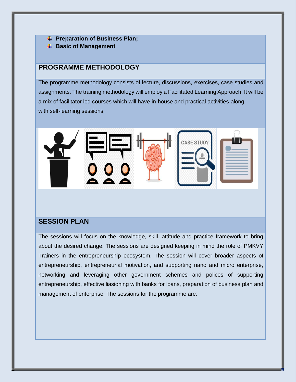- **Preparation of Business Plan;**
- **Basic of Management**

#### **PROGRAMME METHODOLOGY**

The programme methodology consists of lecture, discussions, exercises, case studies and assignments. The training methodology will employ a Facilitated Learning Approach. It will be a mix of facilitator led courses which will have in-house and practical activities along with self-learning sessions.



#### **SESSION PLAN**

The sessions will focus on the knowledge, skill, attitude and practice framework to bring about the desired change. The sessions are designed keeping in mind the role of PMKVY Trainers in the entrepreneurship ecosystem. The session will cover broader aspects of entrepreneurship, entrepreneurial motivation, and supporting nano and micro enterprise, networking and leveraging other government schemes and polices of supporting entrepreneurship, effective liasioning with banks for loans, preparation of business plan and management of enterprise. The sessions for the programme are: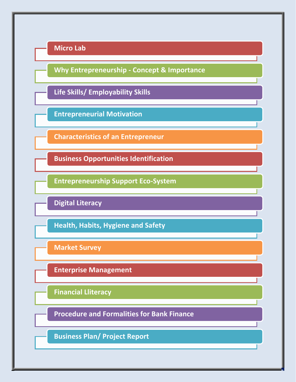

**Why Entrepreneurship - Concept & Importance**

**Life Skills/ Employability Skills**

**Entrepreneurial Motivation**

**Characteristics of an Entrepreneur**

**Business Opportunities Identification**

**Entrepreneurship Support Eco-System**

**Digital Literacy**

**Health, Habits, Hygiene and Safety**

**Market Survey**

**Enterprise Management**

**Financial Lliteracy**

**Procedure and Formalities for Bank Finance**

**Business Plan/ Project Report**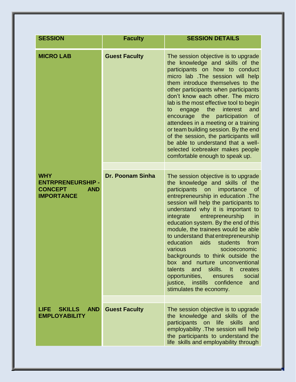| <b>SESSION</b>                                                                              | <b>Faculty</b>          | <b>SESSION DETAILS</b>                                                                                                                                                                                                                                                                                                                                                                                                                                                                                                                                                                                                                                                                                                            |
|---------------------------------------------------------------------------------------------|-------------------------|-----------------------------------------------------------------------------------------------------------------------------------------------------------------------------------------------------------------------------------------------------------------------------------------------------------------------------------------------------------------------------------------------------------------------------------------------------------------------------------------------------------------------------------------------------------------------------------------------------------------------------------------------------------------------------------------------------------------------------------|
| <b>MICRO LAB</b>                                                                            | <b>Guest Faculty</b>    | The session objective is to upgrade<br>the knowledge and skills of the<br>participants on how to conduct<br>micro lab .The session will help<br>them introduce themselves to the<br>other participants when participants<br>don't know each other. The micro<br>lab is the most effective tool to begin<br>interest<br>engage the<br>and<br>to to<br>encourage the participation<br><b>of</b><br>attendees in a meeting or a training<br>or team building session. By the end<br>of the session, the participants will<br>be able to understand that a well-<br>selected icebreaker makes people<br>comfortable enough to speak up.                                                                                               |
| <b>WHY</b><br><b>ENTRPRENEURSHIP -</b><br><b>CONCEPT</b><br><b>AND</b><br><b>IMPORTANCE</b> | <b>Dr. Poonam Sinha</b> | The session objective is to upgrade<br>the knowledge and skills of the<br>participants on<br>importance<br><sub>of</sub><br>entrepreneurship in education. The<br>session will help the participants to<br>understand why it is important to<br>entrepreneurship<br>integrate<br>in<br>education system. By the end of this<br>module, the trainees would be able<br>to understand that entrepreneurship<br>education<br>aids<br>students<br>from<br><b>various contract to the state</b><br>socioeconomic<br>backgrounds to think outside the<br>box and nurture unconventional<br>skills. It<br>talents and<br>creates<br>opportunities,<br>social<br>ensures<br>justice, instills confidence<br>and<br>stimulates the economy. |
| LIFE.<br><b>SKILLS</b><br><b>AND</b><br><b>EMPLOYABILITY</b>                                | <b>Guest Faculty</b>    | The session objective is to upgrade<br>the knowledge and skills of the<br>participants on life skills<br>and<br>employability . The session will help<br>the participants to understand the<br>life skills and employability through                                                                                                                                                                                                                                                                                                                                                                                                                                                                                              |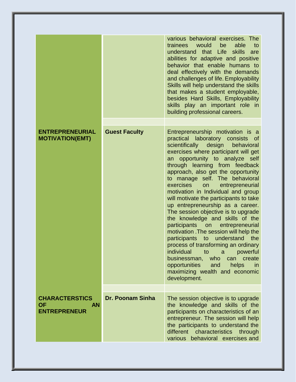|                                                                        |                         | various behavioral exercises. The<br>trainees would<br>able<br>be<br>to<br>understand that Life skills<br>are<br>abilities for adaptive and positive<br>behavior that enable humans to<br>deal effectively with the demands<br>and challenges of life. Employability<br>Skills will help understand the skills<br>that makes a student employable,<br>besides Hard Skills, Employability<br>skills play an important role in<br>building professional careers.                                                                                                                                                                                                                                                                                                                                                                                                        |
|------------------------------------------------------------------------|-------------------------|-----------------------------------------------------------------------------------------------------------------------------------------------------------------------------------------------------------------------------------------------------------------------------------------------------------------------------------------------------------------------------------------------------------------------------------------------------------------------------------------------------------------------------------------------------------------------------------------------------------------------------------------------------------------------------------------------------------------------------------------------------------------------------------------------------------------------------------------------------------------------|
| <b>ENTREPRENEURIAL</b><br><b>MOTIVATION(EMT)</b>                       | <b>Guest Faculty</b>    | Entrepreneurship motivation is a<br>practical laboratory consists of<br>design<br>scientifically<br>behavioral<br>exercises where participant will get<br>an opportunity to analyze self<br>through learning from feedback<br>approach, also get the opportunity<br>to manage self. The behavioral<br>exercises<br>on<br>entrepreneurial<br>motivation in Individual and group<br>will motivate the participants to take<br>up entrepreneurship as a career.<br>The session objective is to upgrade<br>the knowledge and skills of the<br>participants on entrepreneurial<br>motivation . The session will help the<br>participants to<br>understand<br>the<br>process of transforming an ordinary<br>individual<br>to<br>powerful<br>a<br>who<br>businessman,<br>can create<br>in<br>opportunities<br>and<br>helps<br>maximizing wealth and economic<br>development. |
|                                                                        | <b>Dr. Poonam Sinha</b> |                                                                                                                                                                                                                                                                                                                                                                                                                                                                                                                                                                                                                                                                                                                                                                                                                                                                       |
| <b>CHARACTERSTICS</b><br><b>OF</b><br><b>AN</b><br><b>ENTREPRENEUR</b> |                         | The session objective is to upgrade<br>the knowledge and skills of the<br>participants on characteristics of an<br>entrepreneur. The session will help<br>the participants to understand the<br>different characteristics through<br>various behavioral exercises and                                                                                                                                                                                                                                                                                                                                                                                                                                                                                                                                                                                                 |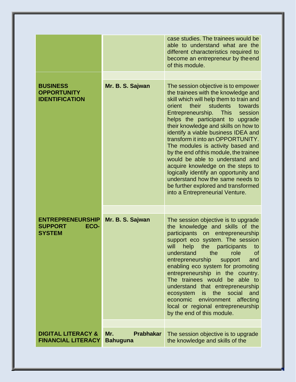|                                                                    |                                            | case studies. The trainees would be<br>able to understand what are the<br>different characteristics required to<br>become an entrepreneur by the end<br>of this module.                                                                                                                                                                                                                                                                                                                                                                                                                                                                                              |
|--------------------------------------------------------------------|--------------------------------------------|----------------------------------------------------------------------------------------------------------------------------------------------------------------------------------------------------------------------------------------------------------------------------------------------------------------------------------------------------------------------------------------------------------------------------------------------------------------------------------------------------------------------------------------------------------------------------------------------------------------------------------------------------------------------|
| <b>BUSINESS</b><br><b>OPPORTUNITY</b><br><b>IDENTIFICATION</b>     | Mr. B. S. Sajwan                           | The session objective is to empower<br>the trainees with the knowledge and<br>skill which will help them to train and<br>their students towards<br>orient<br>Entrepreneurship. This<br>session<br>helps the participant to upgrade<br>their knowledge and skills on how to<br>identify a viable business IDEA and<br>transform it into an OPPORTUNITY.<br>The modules is activity based and<br>by the end of this module, the trainee<br>would be able to understand and<br>acquire knowledge on the steps to<br>logically identify an opportunity and<br>understand how the same needs to<br>be further explored and transformed<br>into a Entrepreneurial Venture. |
| <b>ENTREPRENEURSHIP</b><br><b>SUPPORT</b><br>ECO-<br><b>SYSTEM</b> | Mr. B. S. Sajwan                           | The session objective is to upgrade<br>the knowledge and skills of the<br>participants on entrepreneurship<br>support eco system. The session<br>will<br>help the<br>participants<br>to<br>understand the<br>role<br><sub>of</sub><br>entrepreneurship<br>support<br>and<br>enabling eco system for promoting<br>entrepreneurship in the country.<br>The trainees would be able to<br>understand that entrepreneurship<br>is the social<br>ecosystem<br>and<br>economic environment affecting<br>local or regional entrepreneurship<br>by the end of this module.                                                                                                    |
| <b>DIGITAL LITERACY &amp;</b><br><b>FINANCIAL LITERACY</b>         | <b>Prabhakar</b><br>Mr.<br><b>Bahuguna</b> | The session objective is to upgrade<br>the knowledge and skills of the                                                                                                                                                                                                                                                                                                                                                                                                                                                                                                                                                                                               |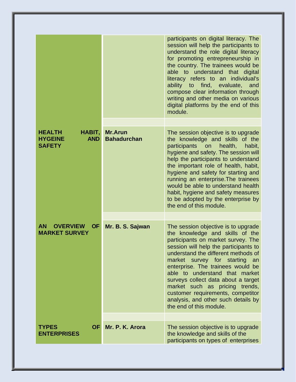|                                                                          |                                      | participants on digital literacy. The<br>session will help the participants to<br>understand the role digital literacy<br>for promoting entrepreneurship in<br>the country. The trainees would be<br>able to understand that digital<br>literacy refers to an individual's<br>ability to find, evaluate,<br>and<br>compose clear information through<br>writing and other media on various<br>digital platforms by the end of this<br>module.                                        |
|--------------------------------------------------------------------------|--------------------------------------|--------------------------------------------------------------------------------------------------------------------------------------------------------------------------------------------------------------------------------------------------------------------------------------------------------------------------------------------------------------------------------------------------------------------------------------------------------------------------------------|
| <b>HEALTH</b><br>HABIT,<br><b>AND</b><br><b>HYGEINE</b><br><b>SAFETY</b> | <b>Mr.Arun</b><br><b>Bahadurchan</b> | The session objective is to upgrade<br>the knowledge and skills of the<br>participants on health,<br>habit,<br>hygiene and safety. The session will<br>help the participants to understand<br>the important role of health, habit,<br>hygiene and safety for starting and<br>running an enterprise. The trainees<br>would be able to understand health<br>habit, hygiene and safety measures<br>to be adopted by the enterprise by<br>the end of this module.                        |
| <b>AN</b><br><b>OVERVIEW</b><br><b>OF</b><br><b>MARKET SURVEY</b>        | Mr. B. S. Sajwan                     | The session objective is to upgrade<br>the knowledge and skills of the<br>participants on market survey. The<br>session will help the participants to<br>understand the different methods of<br>market survey for starting an<br>enterprise. The trainees would be<br>able to understand that market<br>surveys collect data about a target<br>market such as pricing trends,<br>customer requirements, competitor<br>analysis, and other such details by<br>the end of this module. |
|                                                                          |                                      |                                                                                                                                                                                                                                                                                                                                                                                                                                                                                      |
| <b>TYPES</b><br><b>OF</b><br><b>ENTERPRISES</b>                          | Mr. P. K. Arora                      | The session objective is to upgrade<br>the knowledge and skills of the<br>participants on types of enterprises                                                                                                                                                                                                                                                                                                                                                                       |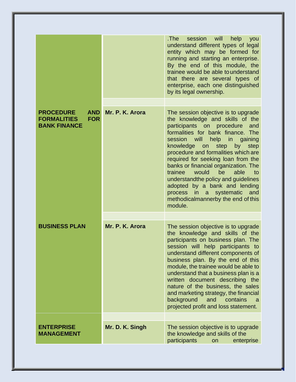|                                                                                           |                 | will<br>.The<br>session<br>help<br>you<br>understand different types of legal<br>entity which may be formed for<br>running and starting an enterprise.<br>By the end of this module, the<br>trainee would be able to understand<br>that there are several types of<br>enterprise, each one distinguished<br>by its legal ownership.                                                                                                                                                                                                     |
|-------------------------------------------------------------------------------------------|-----------------|-----------------------------------------------------------------------------------------------------------------------------------------------------------------------------------------------------------------------------------------------------------------------------------------------------------------------------------------------------------------------------------------------------------------------------------------------------------------------------------------------------------------------------------------|
| <b>AND</b><br><b>PROCEDURE</b><br><b>FOR</b><br><b>FORMALITIES</b><br><b>BANK FINANCE</b> | Mr. P. K. Arora | The session objective is to upgrade<br>the knowledge and skills of the<br>participants on procedure<br>and<br>formalities for bank finance. The<br>session will help in gaining<br>knowledge on step<br>by<br>step<br>procedure and formalities which are<br>required for seeking loan from the<br>banks or financial organization. The<br>trainee would<br>able<br>be<br>to<br>understandthe policy and guidelines<br>adopted by a bank and lending<br>process in a systematic<br>and<br>methodicalmannerby the end of this<br>module. |
| <b>BUSINESS PLAN</b>                                                                      | Mr. P. K. Arora | The session objective is to upgrade<br>the knowledge and skills of the<br>participants on business plan. The<br>session will help participants to<br>understand different components of<br>business plan. By the end of this<br>module, the trainee would be able to<br>understand that a business plan is a<br>written document describing the<br>nature of the business, the sales<br>and marketing strategy, the financial<br>background<br>and<br>contains<br><sub>a</sub><br>projected profit and loss statement.                  |
| <b>ENTERPRISE</b><br><b>MANAGEMENT</b>                                                    | Mr. D. K. Singh | The session objective is to upgrade<br>the knowledge and skills of the<br>participants<br>enterprise<br>on and the set of the set of the set of the set of the set of the set of the set of the set of the set of the set of the set of the set of the set of the set of the set of the set of the set of the set of the set of the se                                                                                                                                                                                                  |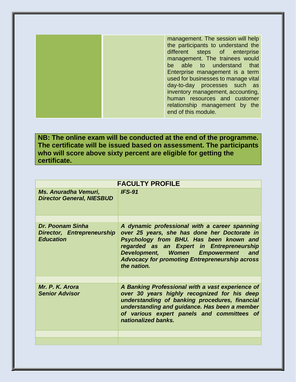management. The session will help the participants to understand the different steps of enterprise management. The trainees would be able to understand that Enterprise management is a term used for businesses to manage vital day-to-day processes such as inventory management, accounting, human resources and customer relationship management by the end of this module.

**NB: The online exam will be conducted at the end of the programme. The certificate will be issued based on assessment. The participants who will score above sixty percent are eligible for getting the certificate.**

| <b>FACULTY PROFILE</b>                                                    |                                                                                                                                                                                                                                                                                                        |  |
|---------------------------------------------------------------------------|--------------------------------------------------------------------------------------------------------------------------------------------------------------------------------------------------------------------------------------------------------------------------------------------------------|--|
| Ms. Anuradha Vemuri,<br><b>Director General, NIESBUD</b>                  | $IFS-91$                                                                                                                                                                                                                                                                                               |  |
| <b>Dr. Poonam Sinha</b><br>Director, Entrepreneurship<br><b>Education</b> | A dynamic professional with a career spanning<br>over 25 years, she has done her Doctorate in<br>Psychology from BHU. Has been known and<br>regarded as an Expert in Entrepreneurship<br>Development, Women Empowerment<br>and<br><b>Advocacy for promoting Entrepreneurship across</b><br>the nation. |  |
| Mr. P. K. Arora<br><b>Senior Advisor</b>                                  | A Banking Professional with a vast experience of<br>over 30 years highly recognized for his deep<br>understanding of banking procedures, financial<br>understanding and guidance. Has been a member<br>of various expert panels and committees of<br>nationalized banks.                               |  |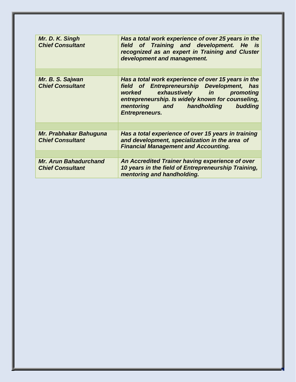| Mr. D. K. Singh<br><b>Chief Consultant</b>        | Has a total work experience of over 25 years in the<br>field of Training and development. He is<br>recognized as an expert in Training and Cluster<br>development and management.                                                                                 |
|---------------------------------------------------|-------------------------------------------------------------------------------------------------------------------------------------------------------------------------------------------------------------------------------------------------------------------|
| Mr. B. S. Sajwan<br><b>Chief Consultant</b>       | Has a total work experience of over 15 years in the<br>field of Entrepreneurship Development, has<br>exhaustively in promoting<br>worked<br>entrepreneurship. Is widely known for counseling,<br>mentoring and<br>handholding<br>budding<br><b>Entrepreneurs.</b> |
|                                                   |                                                                                                                                                                                                                                                                   |
| Mr. Prabhakar Bahuguna<br><b>Chief Consultant</b> | Has a total experience of over 15 years in training<br>and development, specialization in the area of<br><b>Financial Management and Accounting.</b>                                                                                                              |
|                                                   |                                                                                                                                                                                                                                                                   |
| Mr. Arun Bahadurchand<br><b>Chief Consultant</b>  | An Accredited Trainer having experience of over<br>10 years in the field of Entrepreneurship Training,<br>mentoring and handholding.                                                                                                                              |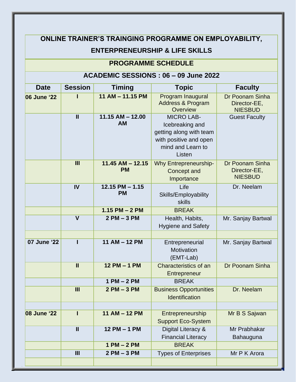# **ONLINE TRAINER'S TRAINGING PROGRAMME ON EMPLOYABILITY, ENTERPRENEURSHIP & LIFE SKILLS**

### **PROGRAMME SCHEDULE**

## **ACADEMIC SESSIONS : 06 – 09 June 2022**

| <b>Date</b> | <b>Session</b> | <b>Timing</b>                     | <b>Topic</b>                                                                                                             | <b>Faculty</b>                                    |
|-------------|----------------|-----------------------------------|--------------------------------------------------------------------------------------------------------------------------|---------------------------------------------------|
| 06 June '22 |                | 11 AM - 11.15 PM                  | Program Inaugural<br><b>Address &amp; Program</b><br>Overview                                                            | Dr Poonam Sinha<br>Director-EE,<br><b>NIESBUD</b> |
|             | $\mathbf{I}$   | $11.15$ AM $- 12.00$<br><b>AM</b> | <b>MICRO LAB-</b><br>Icebreaking and<br>getting along with team<br>with positive and open<br>mind and Learn to<br>Listen | <b>Guest Faculty</b>                              |
|             | III            | $11.45$ AM $- 12.15$<br><b>PM</b> | <b>Why Entrepreneurship-</b><br><b>Concept and</b><br>Importance                                                         | Dr Poonam Sinha<br>Director-EE,<br><b>NIESBUD</b> |
|             | IV             | $12.15$ PM $- 1.15$<br><b>PM</b>  | Life<br>Skills/Employability<br>skills                                                                                   | Dr. Neelam                                        |
|             |                | $1.15$ PM $- 2$ PM                | <b>BREAK</b>                                                                                                             |                                                   |
|             | $\mathbf{V}$   | $2PM - 3PM$                       | Health, Habits,<br><b>Hygiene and Safety</b>                                                                             | Mr. Sanjay Bartwal                                |
| 07 June '22 |                | 11 AM - 12 PM                     | Entrepreneurial<br>Motivation<br>(EMT-Lab)                                                                               | Mr. Sanjay Bartwal                                |
|             | $\mathbf{II}$  | 12 PM - 1 PM                      | Characteristics of an<br>Entrepreneur                                                                                    | Dr Poonam Sinha                                   |
|             |                | $1PM - 2PM$                       | <b>BREAK</b>                                                                                                             |                                                   |
|             | III            | $2PM - 3PM$                       | <b>Business Opportunities</b><br>Identification                                                                          | Dr. Neelam                                        |
|             |                |                                   |                                                                                                                          |                                                   |
| 08 June '22 |                | 11 AM - 12 PM                     | Entrepreneurship<br><b>Support Eco-System</b>                                                                            | Mr B S Sajwan                                     |
|             | $\mathbf{I}$   | 12 PM - 1 PM                      | Digital Literacy &<br><b>Financial Literacy</b>                                                                          | Mr Prabhakar<br>Bahauguna                         |
|             |                | $1 PM - 2 PM$                     | <b>BREAK</b>                                                                                                             |                                                   |
|             | III            | $2PM - 3PM$                       | <b>Types of Enterprises</b>                                                                                              | Mr P K Arora                                      |
|             |                |                                   |                                                                                                                          |                                                   |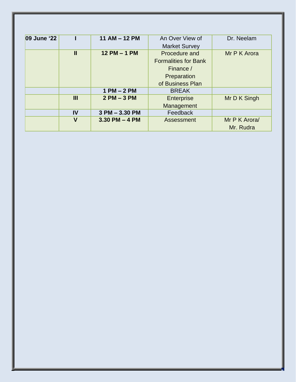| 09 June '22 |               | 11 AM - 12 PM     | An Over View of             | Dr. Neelam    |
|-------------|---------------|-------------------|-----------------------------|---------------|
|             |               |                   | <b>Market Survey</b>        |               |
|             | $\mathbf{II}$ | 12 PM - 1 PM      | Procedure and               | Mr P K Arora  |
|             |               |                   | <b>Formalities for Bank</b> |               |
|             |               |                   | Finance /                   |               |
|             |               |                   | Preparation                 |               |
|             |               |                   | of Business Plan            |               |
|             |               | $1 PM - 2 PM$     | <b>BREAK</b>                |               |
|             | III           | $2PM - 3PM$       | <b>Enterprise</b>           | Mr D K Singh  |
|             |               |                   | Management                  |               |
|             | IV            | 3 PM - 3.30 PM    | Feedback                    |               |
|             | $\mathbf v$   | $3.30$ PM $-4$ PM | Assessment                  | Mr P K Arora/ |
|             |               |                   |                             | Mr. Rudra     |